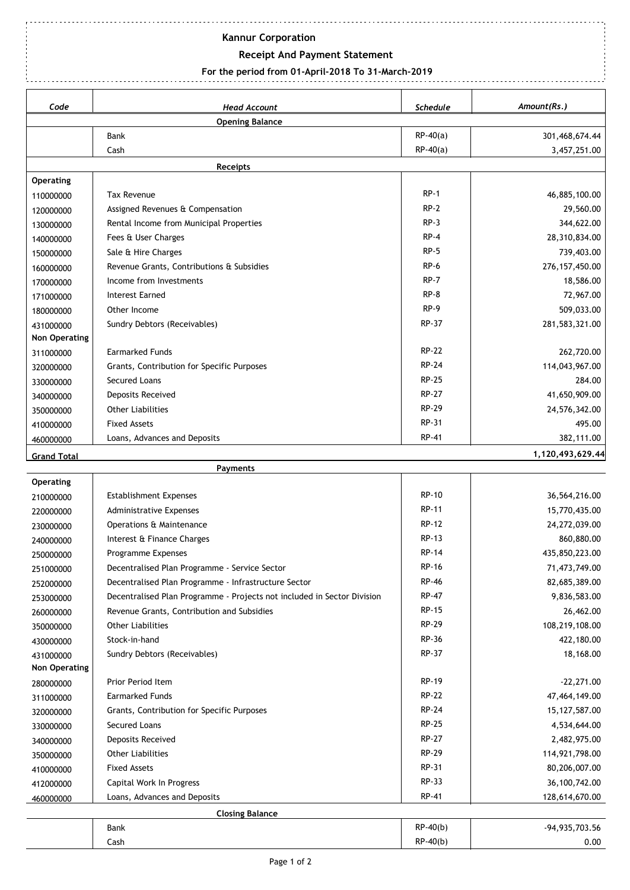## **Kannur Corporation**

## **Receipt And Payment Statement**

## **For the period from 01-April-2018 To 31-March-2019**

| Amount(Rs.)<br>Code<br><b>Head Account</b><br><b>Schedule</b><br><b>Opening Balance</b><br>$RP-40(a)$<br>Bank<br>$RP-40(a)$<br>Cash<br>Receipts<br><b>Operating</b><br>$RP-1$<br><b>Tax Revenue</b><br>110000000<br>$RP-2$<br>Assigned Revenues & Compensation<br>120000000<br>$RP-3$<br>Rental Income from Municipal Properties<br>130000000<br>$RP-4$<br>Fees & User Charges<br>140000000<br>$RP-5$<br>Sale & Hire Charges<br>150000000<br>RP-6<br>Revenue Grants, Contributions & Subsidies<br>160000000<br>$RP-7$<br>Income from Investments<br>170000000<br>$RP-8$<br><b>Interest Earned</b><br>171000000<br>$RP-9$<br>Other Income<br>180000000<br>RP-37<br>Sundry Debtors (Receivables)<br>431000000<br>Non Operating<br><b>RP-22</b><br><b>Earmarked Funds</b><br>311000000<br><b>RP-24</b><br>Grants, Contribution for Specific Purposes<br>320000000<br><b>RP-25</b><br>Secured Loans<br>330000000<br><b>RP-27</b><br>Deposits Received<br>340000000<br><b>RP-29</b><br><b>Other Liabilities</b><br>350000000<br>RP-31<br><b>Fixed Assets</b><br>410000000<br><b>RP-41</b><br>Loans, Advances and Deposits<br>460000000<br><b>Grand Total</b><br>Payments<br>Operating<br><b>RP-10</b><br><b>Establishment Expenses</b><br>210000000<br>RP-11<br><b>Administrative Expenses</b><br>220000000<br><b>RP-12</b><br>Operations & Maintenance<br>230000000<br>RP-13<br>Interest & Finance Charges<br>240000000<br><b>RP-14</b><br>Programme Expenses<br>250000000<br><b>RP-16</b><br>Decentralised Plan Programme - Service Sector<br>251000000<br><b>RP-46</b><br>Decentralised Plan Programme - Infrastructure Sector<br>252000000<br>RP-47<br>Decentralised Plan Programme - Projects not included in Sector Division<br>253000000<br><b>RP-15</b><br>Revenue Grants, Contribution and Subsidies<br>260000000<br><b>RP-29</b><br><b>Other Liabilities</b><br>350000000<br>RP-36<br>Stock-in-hand<br>430000000<br>RP-37<br>Sundry Debtors (Receivables)<br>431000000<br>Non Operating<br>RP-19<br>Prior Period Item<br>280000000<br><b>RP-22</b><br><b>Earmarked Funds</b><br>311000000<br>RP-24<br>Grants, Contribution for Specific Purposes<br>320000000<br>RP-25<br>Secured Loans<br>330000000<br><b>RP-27</b><br>Deposits Received<br>340000000<br>RP-29<br><b>Other Liabilities</b><br>350000000<br>RP-31<br><b>Fixed Assets</b><br>410000000<br>RP-33<br>Capital Work In Progress<br>412000000<br>RP-41<br>Loans, Advances and Deposits<br>460000000<br><b>Closing Balance</b> |  |            |                  |
|----------------------------------------------------------------------------------------------------------------------------------------------------------------------------------------------------------------------------------------------------------------------------------------------------------------------------------------------------------------------------------------------------------------------------------------------------------------------------------------------------------------------------------------------------------------------------------------------------------------------------------------------------------------------------------------------------------------------------------------------------------------------------------------------------------------------------------------------------------------------------------------------------------------------------------------------------------------------------------------------------------------------------------------------------------------------------------------------------------------------------------------------------------------------------------------------------------------------------------------------------------------------------------------------------------------------------------------------------------------------------------------------------------------------------------------------------------------------------------------------------------------------------------------------------------------------------------------------------------------------------------------------------------------------------------------------------------------------------------------------------------------------------------------------------------------------------------------------------------------------------------------------------------------------------------------------------------------------------------------------------------------------------------------------------------------------------------------------------------------------------------------------------------------------------------------------------------------------------------------------------------------------------------------------------------------------------------------------------------------------------------------------------------------------------------------------------------------------------------------------|--|------------|------------------|
|                                                                                                                                                                                                                                                                                                                                                                                                                                                                                                                                                                                                                                                                                                                                                                                                                                                                                                                                                                                                                                                                                                                                                                                                                                                                                                                                                                                                                                                                                                                                                                                                                                                                                                                                                                                                                                                                                                                                                                                                                                                                                                                                                                                                                                                                                                                                                                                                                                                                                              |  |            |                  |
|                                                                                                                                                                                                                                                                                                                                                                                                                                                                                                                                                                                                                                                                                                                                                                                                                                                                                                                                                                                                                                                                                                                                                                                                                                                                                                                                                                                                                                                                                                                                                                                                                                                                                                                                                                                                                                                                                                                                                                                                                                                                                                                                                                                                                                                                                                                                                                                                                                                                                              |  |            |                  |
|                                                                                                                                                                                                                                                                                                                                                                                                                                                                                                                                                                                                                                                                                                                                                                                                                                                                                                                                                                                                                                                                                                                                                                                                                                                                                                                                                                                                                                                                                                                                                                                                                                                                                                                                                                                                                                                                                                                                                                                                                                                                                                                                                                                                                                                                                                                                                                                                                                                                                              |  |            | 301,468,674.44   |
|                                                                                                                                                                                                                                                                                                                                                                                                                                                                                                                                                                                                                                                                                                                                                                                                                                                                                                                                                                                                                                                                                                                                                                                                                                                                                                                                                                                                                                                                                                                                                                                                                                                                                                                                                                                                                                                                                                                                                                                                                                                                                                                                                                                                                                                                                                                                                                                                                                                                                              |  |            | 3,457,251.00     |
|                                                                                                                                                                                                                                                                                                                                                                                                                                                                                                                                                                                                                                                                                                                                                                                                                                                                                                                                                                                                                                                                                                                                                                                                                                                                                                                                                                                                                                                                                                                                                                                                                                                                                                                                                                                                                                                                                                                                                                                                                                                                                                                                                                                                                                                                                                                                                                                                                                                                                              |  |            |                  |
|                                                                                                                                                                                                                                                                                                                                                                                                                                                                                                                                                                                                                                                                                                                                                                                                                                                                                                                                                                                                                                                                                                                                                                                                                                                                                                                                                                                                                                                                                                                                                                                                                                                                                                                                                                                                                                                                                                                                                                                                                                                                                                                                                                                                                                                                                                                                                                                                                                                                                              |  |            |                  |
|                                                                                                                                                                                                                                                                                                                                                                                                                                                                                                                                                                                                                                                                                                                                                                                                                                                                                                                                                                                                                                                                                                                                                                                                                                                                                                                                                                                                                                                                                                                                                                                                                                                                                                                                                                                                                                                                                                                                                                                                                                                                                                                                                                                                                                                                                                                                                                                                                                                                                              |  |            | 46,885,100.00    |
|                                                                                                                                                                                                                                                                                                                                                                                                                                                                                                                                                                                                                                                                                                                                                                                                                                                                                                                                                                                                                                                                                                                                                                                                                                                                                                                                                                                                                                                                                                                                                                                                                                                                                                                                                                                                                                                                                                                                                                                                                                                                                                                                                                                                                                                                                                                                                                                                                                                                                              |  |            | 29,560.00        |
|                                                                                                                                                                                                                                                                                                                                                                                                                                                                                                                                                                                                                                                                                                                                                                                                                                                                                                                                                                                                                                                                                                                                                                                                                                                                                                                                                                                                                                                                                                                                                                                                                                                                                                                                                                                                                                                                                                                                                                                                                                                                                                                                                                                                                                                                                                                                                                                                                                                                                              |  |            | 344,622.00       |
|                                                                                                                                                                                                                                                                                                                                                                                                                                                                                                                                                                                                                                                                                                                                                                                                                                                                                                                                                                                                                                                                                                                                                                                                                                                                                                                                                                                                                                                                                                                                                                                                                                                                                                                                                                                                                                                                                                                                                                                                                                                                                                                                                                                                                                                                                                                                                                                                                                                                                              |  |            | 28,310,834.00    |
|                                                                                                                                                                                                                                                                                                                                                                                                                                                                                                                                                                                                                                                                                                                                                                                                                                                                                                                                                                                                                                                                                                                                                                                                                                                                                                                                                                                                                                                                                                                                                                                                                                                                                                                                                                                                                                                                                                                                                                                                                                                                                                                                                                                                                                                                                                                                                                                                                                                                                              |  |            | 739,403.00       |
|                                                                                                                                                                                                                                                                                                                                                                                                                                                                                                                                                                                                                                                                                                                                                                                                                                                                                                                                                                                                                                                                                                                                                                                                                                                                                                                                                                                                                                                                                                                                                                                                                                                                                                                                                                                                                                                                                                                                                                                                                                                                                                                                                                                                                                                                                                                                                                                                                                                                                              |  |            | 276, 157, 450.00 |
|                                                                                                                                                                                                                                                                                                                                                                                                                                                                                                                                                                                                                                                                                                                                                                                                                                                                                                                                                                                                                                                                                                                                                                                                                                                                                                                                                                                                                                                                                                                                                                                                                                                                                                                                                                                                                                                                                                                                                                                                                                                                                                                                                                                                                                                                                                                                                                                                                                                                                              |  |            | 18,586.00        |
|                                                                                                                                                                                                                                                                                                                                                                                                                                                                                                                                                                                                                                                                                                                                                                                                                                                                                                                                                                                                                                                                                                                                                                                                                                                                                                                                                                                                                                                                                                                                                                                                                                                                                                                                                                                                                                                                                                                                                                                                                                                                                                                                                                                                                                                                                                                                                                                                                                                                                              |  |            | 72,967.00        |
|                                                                                                                                                                                                                                                                                                                                                                                                                                                                                                                                                                                                                                                                                                                                                                                                                                                                                                                                                                                                                                                                                                                                                                                                                                                                                                                                                                                                                                                                                                                                                                                                                                                                                                                                                                                                                                                                                                                                                                                                                                                                                                                                                                                                                                                                                                                                                                                                                                                                                              |  |            | 509,033.00       |
|                                                                                                                                                                                                                                                                                                                                                                                                                                                                                                                                                                                                                                                                                                                                                                                                                                                                                                                                                                                                                                                                                                                                                                                                                                                                                                                                                                                                                                                                                                                                                                                                                                                                                                                                                                                                                                                                                                                                                                                                                                                                                                                                                                                                                                                                                                                                                                                                                                                                                              |  |            | 281,583,321.00   |
|                                                                                                                                                                                                                                                                                                                                                                                                                                                                                                                                                                                                                                                                                                                                                                                                                                                                                                                                                                                                                                                                                                                                                                                                                                                                                                                                                                                                                                                                                                                                                                                                                                                                                                                                                                                                                                                                                                                                                                                                                                                                                                                                                                                                                                                                                                                                                                                                                                                                                              |  |            |                  |
|                                                                                                                                                                                                                                                                                                                                                                                                                                                                                                                                                                                                                                                                                                                                                                                                                                                                                                                                                                                                                                                                                                                                                                                                                                                                                                                                                                                                                                                                                                                                                                                                                                                                                                                                                                                                                                                                                                                                                                                                                                                                                                                                                                                                                                                                                                                                                                                                                                                                                              |  |            | 262,720.00       |
|                                                                                                                                                                                                                                                                                                                                                                                                                                                                                                                                                                                                                                                                                                                                                                                                                                                                                                                                                                                                                                                                                                                                                                                                                                                                                                                                                                                                                                                                                                                                                                                                                                                                                                                                                                                                                                                                                                                                                                                                                                                                                                                                                                                                                                                                                                                                                                                                                                                                                              |  |            | 114,043,967.00   |
|                                                                                                                                                                                                                                                                                                                                                                                                                                                                                                                                                                                                                                                                                                                                                                                                                                                                                                                                                                                                                                                                                                                                                                                                                                                                                                                                                                                                                                                                                                                                                                                                                                                                                                                                                                                                                                                                                                                                                                                                                                                                                                                                                                                                                                                                                                                                                                                                                                                                                              |  |            | 284.00           |
|                                                                                                                                                                                                                                                                                                                                                                                                                                                                                                                                                                                                                                                                                                                                                                                                                                                                                                                                                                                                                                                                                                                                                                                                                                                                                                                                                                                                                                                                                                                                                                                                                                                                                                                                                                                                                                                                                                                                                                                                                                                                                                                                                                                                                                                                                                                                                                                                                                                                                              |  |            | 41,650,909.00    |
|                                                                                                                                                                                                                                                                                                                                                                                                                                                                                                                                                                                                                                                                                                                                                                                                                                                                                                                                                                                                                                                                                                                                                                                                                                                                                                                                                                                                                                                                                                                                                                                                                                                                                                                                                                                                                                                                                                                                                                                                                                                                                                                                                                                                                                                                                                                                                                                                                                                                                              |  |            | 24,576,342.00    |
|                                                                                                                                                                                                                                                                                                                                                                                                                                                                                                                                                                                                                                                                                                                                                                                                                                                                                                                                                                                                                                                                                                                                                                                                                                                                                                                                                                                                                                                                                                                                                                                                                                                                                                                                                                                                                                                                                                                                                                                                                                                                                                                                                                                                                                                                                                                                                                                                                                                                                              |  |            | 495.00           |
|                                                                                                                                                                                                                                                                                                                                                                                                                                                                                                                                                                                                                                                                                                                                                                                                                                                                                                                                                                                                                                                                                                                                                                                                                                                                                                                                                                                                                                                                                                                                                                                                                                                                                                                                                                                                                                                                                                                                                                                                                                                                                                                                                                                                                                                                                                                                                                                                                                                                                              |  |            | 382,111.00       |
|                                                                                                                                                                                                                                                                                                                                                                                                                                                                                                                                                                                                                                                                                                                                                                                                                                                                                                                                                                                                                                                                                                                                                                                                                                                                                                                                                                                                                                                                                                                                                                                                                                                                                                                                                                                                                                                                                                                                                                                                                                                                                                                                                                                                                                                                                                                                                                                                                                                                                              |  |            | 1,120,493,629.44 |
|                                                                                                                                                                                                                                                                                                                                                                                                                                                                                                                                                                                                                                                                                                                                                                                                                                                                                                                                                                                                                                                                                                                                                                                                                                                                                                                                                                                                                                                                                                                                                                                                                                                                                                                                                                                                                                                                                                                                                                                                                                                                                                                                                                                                                                                                                                                                                                                                                                                                                              |  |            |                  |
|                                                                                                                                                                                                                                                                                                                                                                                                                                                                                                                                                                                                                                                                                                                                                                                                                                                                                                                                                                                                                                                                                                                                                                                                                                                                                                                                                                                                                                                                                                                                                                                                                                                                                                                                                                                                                                                                                                                                                                                                                                                                                                                                                                                                                                                                                                                                                                                                                                                                                              |  |            |                  |
|                                                                                                                                                                                                                                                                                                                                                                                                                                                                                                                                                                                                                                                                                                                                                                                                                                                                                                                                                                                                                                                                                                                                                                                                                                                                                                                                                                                                                                                                                                                                                                                                                                                                                                                                                                                                                                                                                                                                                                                                                                                                                                                                                                                                                                                                                                                                                                                                                                                                                              |  |            | 36,564,216.00    |
|                                                                                                                                                                                                                                                                                                                                                                                                                                                                                                                                                                                                                                                                                                                                                                                                                                                                                                                                                                                                                                                                                                                                                                                                                                                                                                                                                                                                                                                                                                                                                                                                                                                                                                                                                                                                                                                                                                                                                                                                                                                                                                                                                                                                                                                                                                                                                                                                                                                                                              |  |            | 15,770,435.00    |
|                                                                                                                                                                                                                                                                                                                                                                                                                                                                                                                                                                                                                                                                                                                                                                                                                                                                                                                                                                                                                                                                                                                                                                                                                                                                                                                                                                                                                                                                                                                                                                                                                                                                                                                                                                                                                                                                                                                                                                                                                                                                                                                                                                                                                                                                                                                                                                                                                                                                                              |  |            | 24,272,039.00    |
|                                                                                                                                                                                                                                                                                                                                                                                                                                                                                                                                                                                                                                                                                                                                                                                                                                                                                                                                                                                                                                                                                                                                                                                                                                                                                                                                                                                                                                                                                                                                                                                                                                                                                                                                                                                                                                                                                                                                                                                                                                                                                                                                                                                                                                                                                                                                                                                                                                                                                              |  |            | 860,880.00       |
|                                                                                                                                                                                                                                                                                                                                                                                                                                                                                                                                                                                                                                                                                                                                                                                                                                                                                                                                                                                                                                                                                                                                                                                                                                                                                                                                                                                                                                                                                                                                                                                                                                                                                                                                                                                                                                                                                                                                                                                                                                                                                                                                                                                                                                                                                                                                                                                                                                                                                              |  |            | 435,850,223.00   |
|                                                                                                                                                                                                                                                                                                                                                                                                                                                                                                                                                                                                                                                                                                                                                                                                                                                                                                                                                                                                                                                                                                                                                                                                                                                                                                                                                                                                                                                                                                                                                                                                                                                                                                                                                                                                                                                                                                                                                                                                                                                                                                                                                                                                                                                                                                                                                                                                                                                                                              |  |            | 71,473,749.00    |
|                                                                                                                                                                                                                                                                                                                                                                                                                                                                                                                                                                                                                                                                                                                                                                                                                                                                                                                                                                                                                                                                                                                                                                                                                                                                                                                                                                                                                                                                                                                                                                                                                                                                                                                                                                                                                                                                                                                                                                                                                                                                                                                                                                                                                                                                                                                                                                                                                                                                                              |  |            | 82,685,389.00    |
|                                                                                                                                                                                                                                                                                                                                                                                                                                                                                                                                                                                                                                                                                                                                                                                                                                                                                                                                                                                                                                                                                                                                                                                                                                                                                                                                                                                                                                                                                                                                                                                                                                                                                                                                                                                                                                                                                                                                                                                                                                                                                                                                                                                                                                                                                                                                                                                                                                                                                              |  |            | 9,836,583.00     |
|                                                                                                                                                                                                                                                                                                                                                                                                                                                                                                                                                                                                                                                                                                                                                                                                                                                                                                                                                                                                                                                                                                                                                                                                                                                                                                                                                                                                                                                                                                                                                                                                                                                                                                                                                                                                                                                                                                                                                                                                                                                                                                                                                                                                                                                                                                                                                                                                                                                                                              |  |            | 26,462.00        |
|                                                                                                                                                                                                                                                                                                                                                                                                                                                                                                                                                                                                                                                                                                                                                                                                                                                                                                                                                                                                                                                                                                                                                                                                                                                                                                                                                                                                                                                                                                                                                                                                                                                                                                                                                                                                                                                                                                                                                                                                                                                                                                                                                                                                                                                                                                                                                                                                                                                                                              |  |            | 108,219,108.00   |
|                                                                                                                                                                                                                                                                                                                                                                                                                                                                                                                                                                                                                                                                                                                                                                                                                                                                                                                                                                                                                                                                                                                                                                                                                                                                                                                                                                                                                                                                                                                                                                                                                                                                                                                                                                                                                                                                                                                                                                                                                                                                                                                                                                                                                                                                                                                                                                                                                                                                                              |  |            | 422,180.00       |
|                                                                                                                                                                                                                                                                                                                                                                                                                                                                                                                                                                                                                                                                                                                                                                                                                                                                                                                                                                                                                                                                                                                                                                                                                                                                                                                                                                                                                                                                                                                                                                                                                                                                                                                                                                                                                                                                                                                                                                                                                                                                                                                                                                                                                                                                                                                                                                                                                                                                                              |  |            | 18,168.00        |
|                                                                                                                                                                                                                                                                                                                                                                                                                                                                                                                                                                                                                                                                                                                                                                                                                                                                                                                                                                                                                                                                                                                                                                                                                                                                                                                                                                                                                                                                                                                                                                                                                                                                                                                                                                                                                                                                                                                                                                                                                                                                                                                                                                                                                                                                                                                                                                                                                                                                                              |  |            |                  |
|                                                                                                                                                                                                                                                                                                                                                                                                                                                                                                                                                                                                                                                                                                                                                                                                                                                                                                                                                                                                                                                                                                                                                                                                                                                                                                                                                                                                                                                                                                                                                                                                                                                                                                                                                                                                                                                                                                                                                                                                                                                                                                                                                                                                                                                                                                                                                                                                                                                                                              |  |            | $-22,271.00$     |
|                                                                                                                                                                                                                                                                                                                                                                                                                                                                                                                                                                                                                                                                                                                                                                                                                                                                                                                                                                                                                                                                                                                                                                                                                                                                                                                                                                                                                                                                                                                                                                                                                                                                                                                                                                                                                                                                                                                                                                                                                                                                                                                                                                                                                                                                                                                                                                                                                                                                                              |  |            | 47,464,149.00    |
|                                                                                                                                                                                                                                                                                                                                                                                                                                                                                                                                                                                                                                                                                                                                                                                                                                                                                                                                                                                                                                                                                                                                                                                                                                                                                                                                                                                                                                                                                                                                                                                                                                                                                                                                                                                                                                                                                                                                                                                                                                                                                                                                                                                                                                                                                                                                                                                                                                                                                              |  |            | 15, 127, 587.00  |
|                                                                                                                                                                                                                                                                                                                                                                                                                                                                                                                                                                                                                                                                                                                                                                                                                                                                                                                                                                                                                                                                                                                                                                                                                                                                                                                                                                                                                                                                                                                                                                                                                                                                                                                                                                                                                                                                                                                                                                                                                                                                                                                                                                                                                                                                                                                                                                                                                                                                                              |  |            | 4,534,644.00     |
|                                                                                                                                                                                                                                                                                                                                                                                                                                                                                                                                                                                                                                                                                                                                                                                                                                                                                                                                                                                                                                                                                                                                                                                                                                                                                                                                                                                                                                                                                                                                                                                                                                                                                                                                                                                                                                                                                                                                                                                                                                                                                                                                                                                                                                                                                                                                                                                                                                                                                              |  |            | 2,482,975.00     |
|                                                                                                                                                                                                                                                                                                                                                                                                                                                                                                                                                                                                                                                                                                                                                                                                                                                                                                                                                                                                                                                                                                                                                                                                                                                                                                                                                                                                                                                                                                                                                                                                                                                                                                                                                                                                                                                                                                                                                                                                                                                                                                                                                                                                                                                                                                                                                                                                                                                                                              |  |            | 114,921,798.00   |
|                                                                                                                                                                                                                                                                                                                                                                                                                                                                                                                                                                                                                                                                                                                                                                                                                                                                                                                                                                                                                                                                                                                                                                                                                                                                                                                                                                                                                                                                                                                                                                                                                                                                                                                                                                                                                                                                                                                                                                                                                                                                                                                                                                                                                                                                                                                                                                                                                                                                                              |  |            | 80,206,007.00    |
|                                                                                                                                                                                                                                                                                                                                                                                                                                                                                                                                                                                                                                                                                                                                                                                                                                                                                                                                                                                                                                                                                                                                                                                                                                                                                                                                                                                                                                                                                                                                                                                                                                                                                                                                                                                                                                                                                                                                                                                                                                                                                                                                                                                                                                                                                                                                                                                                                                                                                              |  |            | 36,100,742.00    |
|                                                                                                                                                                                                                                                                                                                                                                                                                                                                                                                                                                                                                                                                                                                                                                                                                                                                                                                                                                                                                                                                                                                                                                                                                                                                                                                                                                                                                                                                                                                                                                                                                                                                                                                                                                                                                                                                                                                                                                                                                                                                                                                                                                                                                                                                                                                                                                                                                                                                                              |  |            | 128,614,670.00   |
|                                                                                                                                                                                                                                                                                                                                                                                                                                                                                                                                                                                                                                                                                                                                                                                                                                                                                                                                                                                                                                                                                                                                                                                                                                                                                                                                                                                                                                                                                                                                                                                                                                                                                                                                                                                                                                                                                                                                                                                                                                                                                                                                                                                                                                                                                                                                                                                                                                                                                              |  |            |                  |
| Bank                                                                                                                                                                                                                                                                                                                                                                                                                                                                                                                                                                                                                                                                                                                                                                                                                                                                                                                                                                                                                                                                                                                                                                                                                                                                                                                                                                                                                                                                                                                                                                                                                                                                                                                                                                                                                                                                                                                                                                                                                                                                                                                                                                                                                                                                                                                                                                                                                                                                                         |  | $RP-40(b)$ | -94,935,703.56   |

 $\mathsf{CP}$   $\mathsf{RP}\text{-}\mathsf{40}(\mathsf{b})$  and  $\mathsf{RP}\text{-}\mathsf{40}(\mathsf{b})$  and  $\mathsf{0.00}$